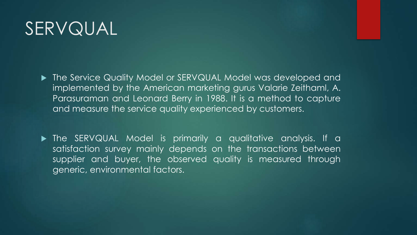# SERVQUAL

▶ The Service Quality Model or SERVQUAL Model was developed and implemented by the American marketing gurus Valarie Zeithaml, A. Parasuraman and Leonard Berry in 1988. It is a method to capture and measure the service quality experienced by customers.

 The SERVQUAL Model is primarily a qualitative analysis. If a satisfaction survey mainly depends on the transactions between supplier and buyer, the observed quality is measured through generic, environmental factors.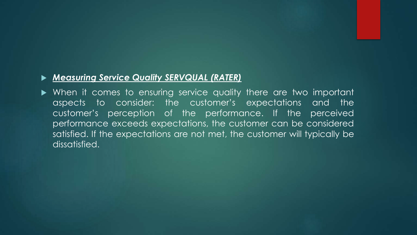#### *Measuring Service Quality SERVQUAL (RATER)*

 When it comes to ensuring service quality there are two important aspects to consider: the customer's expectations and the customer's perception of the performance. If the perceived performance exceeds expectations, the customer can be considered satisfied. If the expectations are not met, the customer will typically be dissatisfied.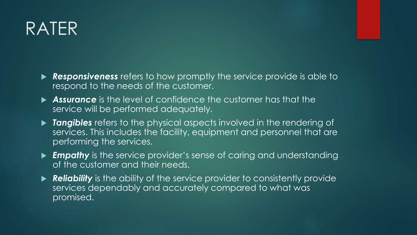#### RATER

- **Responsiveness** refers to how promptly the service provide is able to respond to the needs of the customer.
- *Assurance* is the level of confidence the customer has that the service will be performed adequately.
- **Tangibles** refers to the physical aspects involved in the rendering of services. This includes the facility, equipment and personnel that are performing the services.
- *Empathy* is the service provider's sense of caring and understanding of the customer and their needs.
- **Reliability** is the ability of the service provider to consistently provide services dependably and accurately compared to what was promised.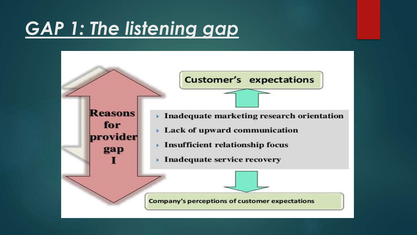#### *GAP 1: The listening gap*

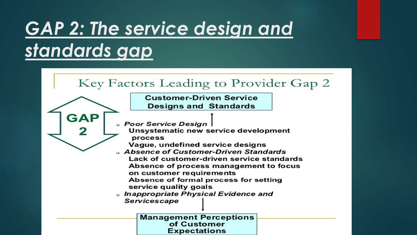# *GAP 2: The service design and standards gap*

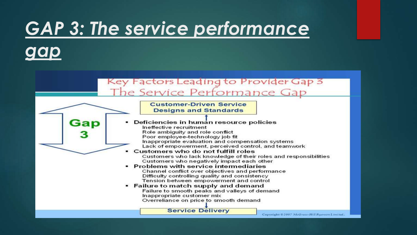# *GAP 3: The service performance*



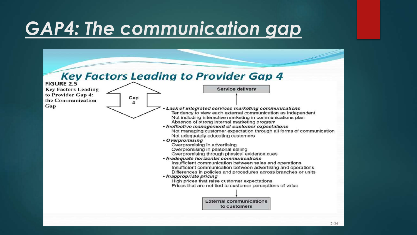# *GAP4: The communication gap*

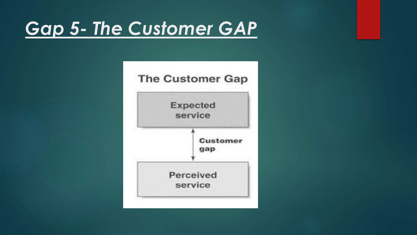#### *Gap 5- The Customer GAP*

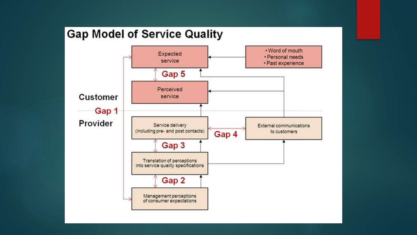#### **Gap Model of Service Quality**

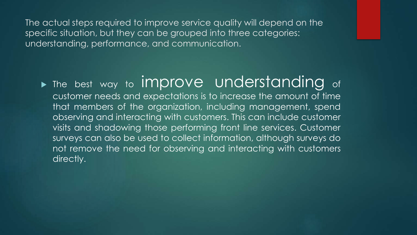The actual steps required to improve service quality will depend on the specific situation, but they can be grouped into three categories: understanding, performance, and communication.

Intertate the sest way to improve understanding of customer needs and expectations is to increase the amount of time that members of the organization, including management, spend observing and interacting with customers. This can include customer visits and shadowing those performing front line services. Customer surveys can also be used to collect information, although surveys do not remove the need for observing and interacting with customers directly.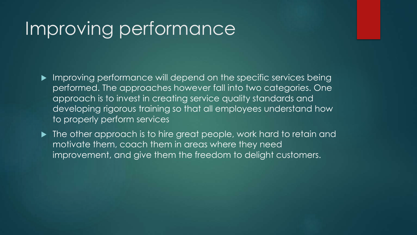#### Improving performance

- **Improving performance will depend on the specific services being** performed. The approaches however fall into two categories. One approach is to invest in creating service quality standards and developing rigorous training so that all employees understand how to properly perform services
- $\blacktriangleright$  The other approach is to hire great people, work hard to retain and motivate them, coach them in areas where they need improvement, and give them the freedom to delight customers.